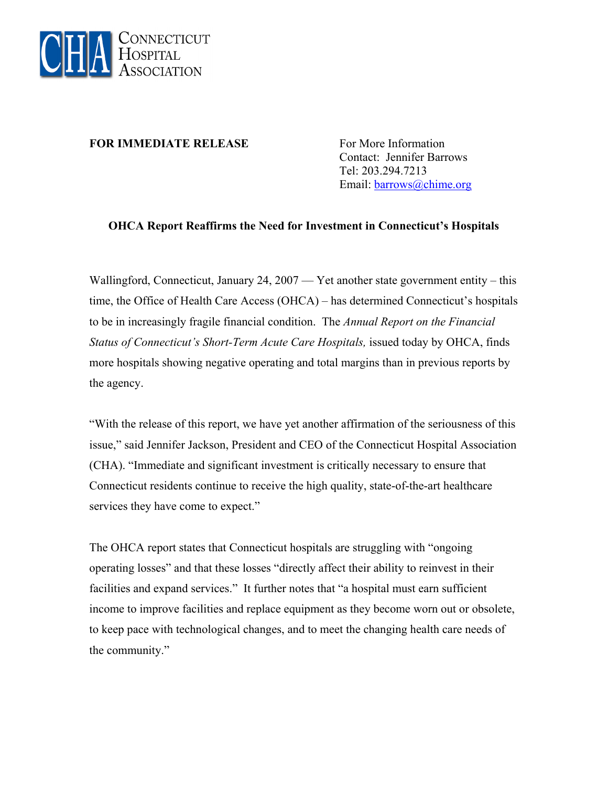

## **FOR IMMEDIATE RELEASE** For More Information

Contact: Jennifer Barrows Tel: 203.294.7213 Email: [barrows@chime.org](mailto:barrows@chime.org)

## **OHCA Report Reaffirms the Need for Investment in Connecticut's Hospitals**

Wallingford, Connecticut, January 24, 2007 — Yet another state government entity – this time, the Office of Health Care Access (OHCA) – has determined Connecticut's hospitals to be in increasingly fragile financial condition. The *Annual Report on the Financial Status of Connecticut's Short-Term Acute Care Hospitals,* issued today by OHCA, finds more hospitals showing negative operating and total margins than in previous reports by the agency.

"With the release of this report, we have yet another affirmation of the seriousness of this issue," said Jennifer Jackson, President and CEO of the Connecticut Hospital Association (CHA). "Immediate and significant investment is critically necessary to ensure that Connecticut residents continue to receive the high quality, state-of-the-art healthcare services they have come to expect."

The OHCA report states that Connecticut hospitals are struggling with "ongoing operating losses" and that these losses "directly affect their ability to reinvest in their facilities and expand services." It further notes that "a hospital must earn sufficient income to improve facilities and replace equipment as they become worn out or obsolete, to keep pace with technological changes, and to meet the changing health care needs of the community."